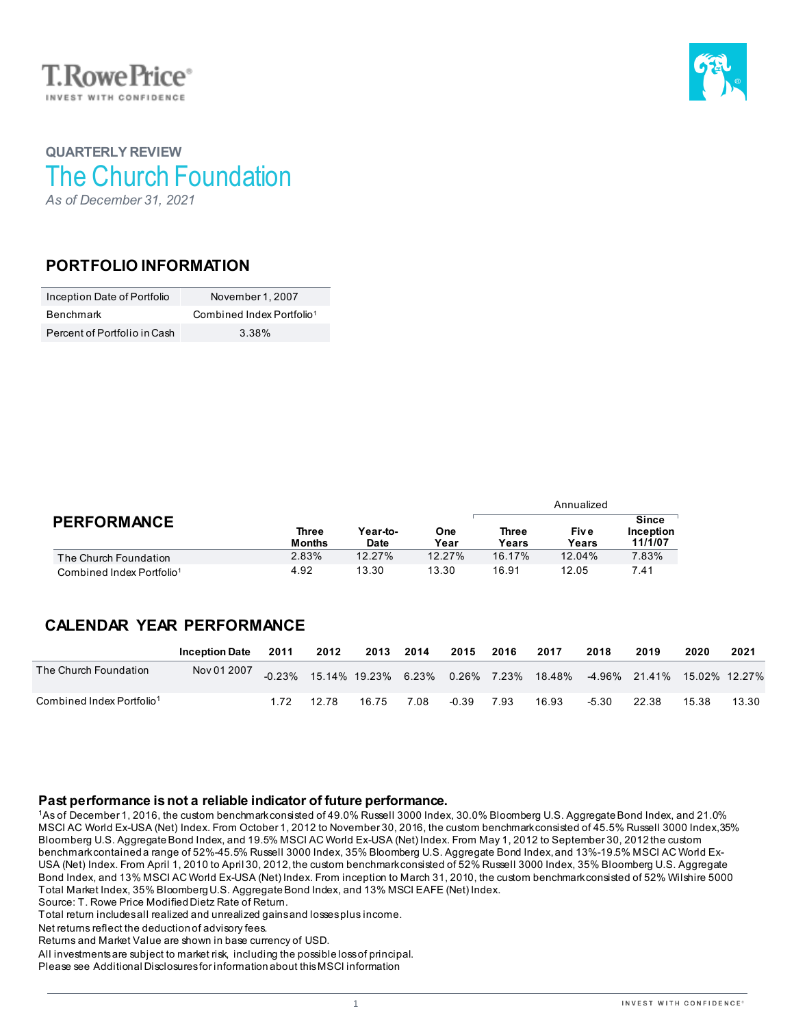



## **QUARTERLY REVIEW** The Church Foundation *As of December 31, 2021*

### **PORTFOLIO INFORMATION**

| Inception Date of Portfolio  | November 1, 2007                      |  |  |  |  |
|------------------------------|---------------------------------------|--|--|--|--|
| Benchmark                    | Combined Index Portfolio <sup>1</sup> |  |  |  |  |
| Percent of Portfolio in Cash | 3 38%                                 |  |  |  |  |

|                                       |                        | Year-to-<br>Date | One<br>Year | Annualized     |                |                                      |  |  |
|---------------------------------------|------------------------|------------------|-------------|----------------|----------------|--------------------------------------|--|--|
| <b>PERFORMANCE</b>                    | Three<br><b>Months</b> |                  |             | Three<br>Years | Fiv e<br>Years | <b>Since</b><br>Inception<br>11/1/07 |  |  |
| The Church Foundation                 | 2.83%                  | 12.27%           | 12.27%      | 16.17%         | 12.04%         | 7.83%                                |  |  |
| Combined Index Portfolio <sup>1</sup> | 4.92                   | 13.30            | 13.30       | 16.91          | 12.05          | 7.41                                 |  |  |

## **CALENDAR YEAR PERFORMANCE**

|                                       | <b>Inception Date</b> | 2011 | 2012  | 2013 2014 |      | 2015  | 2016 | 2017                                                                      | 2018    | 2019  | 2020  | 2021  |
|---------------------------------------|-----------------------|------|-------|-----------|------|-------|------|---------------------------------------------------------------------------|---------|-------|-------|-------|
| The Church Foundation                 | Nov 01 2007           |      |       |           |      |       |      | -0.23% 15.14% 19.23% 6.23% 0.26% 7.23% 18.48% -4.96% 21.41% 15.02% 12.27% |         |       |       |       |
| Combined Index Portfolio <sup>1</sup> |                       | 172  | 12.78 | 16.75     | 7.08 | -0.39 | 7.93 | 16.93                                                                     | $-5.30$ | 22.38 | 15.38 | 13.30 |

### **Past performance is not a reliable indicator of future performance.**

1As of December 1, 2016, the custom benchmark consisted of 49.0% Russell 3000 Index, 30.0% Bloomberg U.S. Aggregate Bond Index, and 21.0% MSCI AC World Ex-USA (Net) Index. From October 1, 2012 to November 30, 2016, the custom benchmark consisted of 45.5% Russell 3000 Index,35% Bloomberg U.S. Aggregate Bond Index, and 19.5% MSCI AC World Ex-USA (Net) Index. From May 1, 2012 to September 30, 2012 the custom benchmark contained a range of 52%-45.5% Russell 3000 Index, 35% Bloomberg U.S. Aggregate Bond Index, and 13%-19.5% MSCI AC World Ex-USA (Net) Index. From April 1, 2010 to April 30, 2012, the custom benchmark consisted of 52% Russell 3000 Index, 35% Bloomberg U.S. Aggregate Bond Index, and 13% MSCI AC World Ex-USA (Net) Index. From inception to March 31, 2010, the custom benchmark consisted of 52% Wilshire 5000 Total Market Index, 35% Bloomberg U.S. Aggregate Bond Index, and 13% MSCI EAFE (Net) Index. Source: T. Rowe Price Modified Dietz Rate of Return.

Total return includes all realized and unrealized gains and losses plus income.

Net returns reflect the deduction of advisory fees.

Returns and Market Value are shown in base currency of USD.

All investments are subject to market risk, including the possible loss of principal.

Please see Additional Disclosures for information about this MSCI information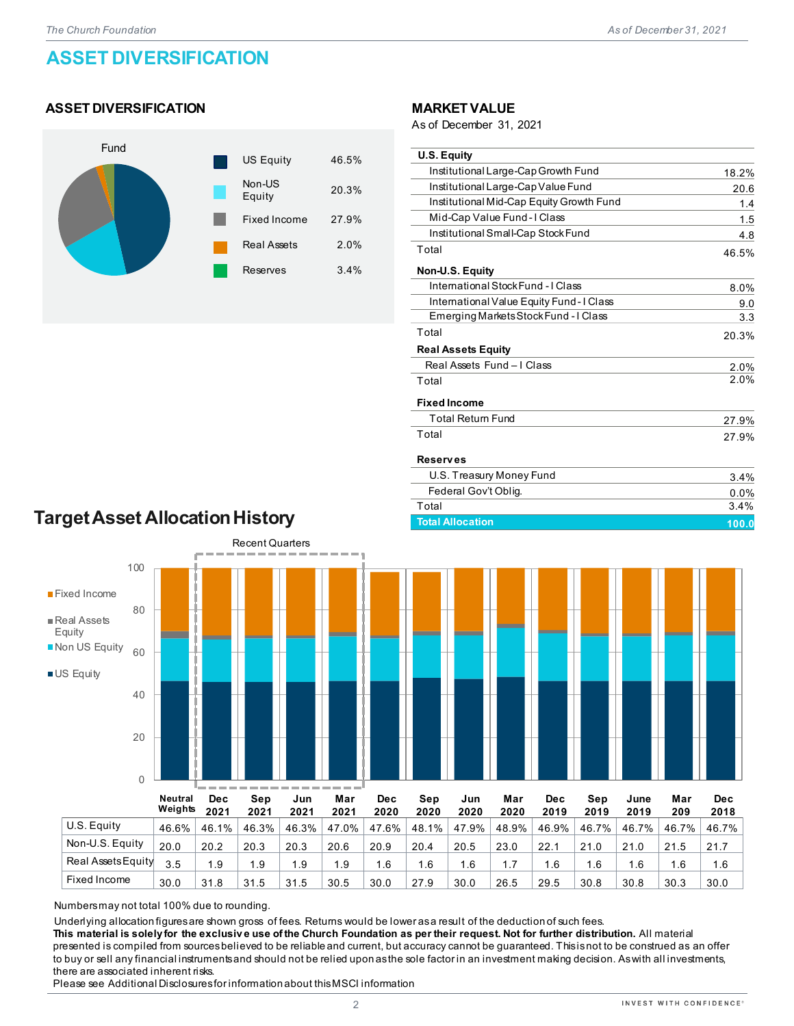# **ASSET DIVERSIFICATION**

### **ASSET DIVERSIFICATION**



#### **MARKETVALUE**

As of December 31, 2021

| <b>U.S. Equity</b>                       |       |
|------------------------------------------|-------|
| Institutional Large-Cap Growth Fund      | 18.2% |
| Institutional Large-Cap Value Fund       | 20.6  |
| Institutional Mid-Cap Equity Growth Fund | 1.4   |
| Mid-Cap Value Fund - I Class             | 1.5   |
| Institutional Small-Cap Stock Fund       | 4.8   |
| Total                                    | 46.5% |
| Non-U.S. Equity                          |       |
| International Stock Fund - I Class       | 8.0%  |
| International Value Equity Fund-I Class  | 9.0   |
| Emerging Markets Stock Fund - I Class    | 3.3   |
| Total                                    | 20.3% |
| <b>Real Assets Equity</b>                |       |
| Real Assets Fund - I Class               | 2.0%  |
| Total                                    | 2.0%  |
| <b>Fixed Income</b>                      |       |
| <b>Total Return Fund</b>                 | 27.9% |
| Total                                    | 27.9% |
| <b>Reserves</b>                          |       |
| U.S. Treasury Money Fund                 | 3.4%  |
| Federal Gov't Oblig.                     | 0.0%  |
| Total                                    | 3.4%  |

**Total Allocation 100.0**

# **Target Asset Allocation History**



Numbers may not total 100% due to rounding.

Underlying allocation figures are shown gross of fees. Returns would be lower as a result of the deduction of such fees.

**This material is solely for the exclusiv e use of the Church Foundation as per their request. Not for further distribution.** All material presented is compiled from sources believed to be reliable and current, but accuracy cannot be guaranteed. This is not to be construed as an offer to buy or sell any financial instruments and should not be relied upon as the sole factor in an investment making decision. As with all investments, there are associated inherent risks.

Fixed Income 30.0 31.8 31.5 31.5 30.5 30.0 27.9 30.0 26.5 29.5 30.8 30.8 30.3 30.0

Please see Additional Disclosures for information about this MSCI information